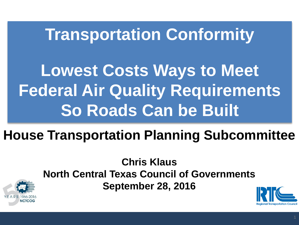# **Transportation Conformity**

**Lowest Costs Ways to Meet Federal Air Quality Requirements So Roads Can be Built**

## **House Transportation Planning Subcommittee**

#### **Chris Klaus North Central Texas Council of Governments September 28, 2016**



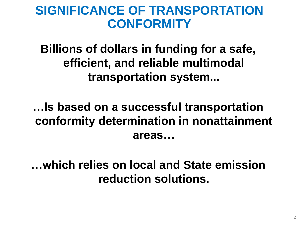### **SIGNIFICANCE OF TRANSPORTATION CONFORMITY**

### **Billions of dollars in funding for a safe, efficient, and reliable multimodal transportation system...**

### **…Is based on a successful transportation conformity determination in nonattainment areas…**

### **…which relies on local and State emission reduction solutions.**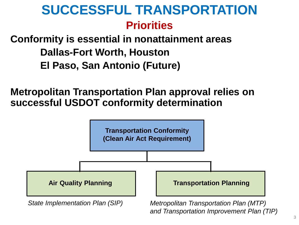### **SUCCESSFUL TRANSPORTATION Priorities**

### **Conformity is essential in nonattainment areas Dallas-Fort Worth, Houston El Paso, San Antonio (Future)**

**Metropolitan Transportation Plan approval relies on successful USDOT conformity determination**



3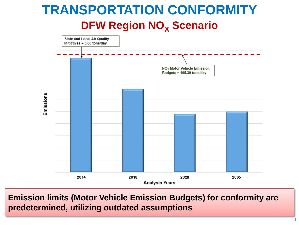### **TRANSPORTATION CONFORMITY DFW Region NO<sup>X</sup> Scenario**



**Emission limits (Motor Vehicle Emission Budgets) for conformity are predetermined, utilizing outdated assumptions**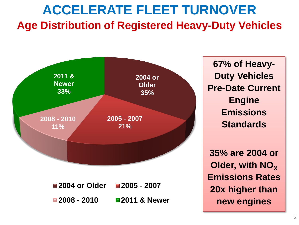### **ACCELERATE FLEET TURNOVER Age Distribution of Registered Heavy-Duty Vehicles**



**67% of Heavy-Duty Vehicles Pre-Date Current Engine Emissions Standards**

**35% are 2004 or Older, with NO<sub>X</sub> Emissions Rates 20x higher than new engines**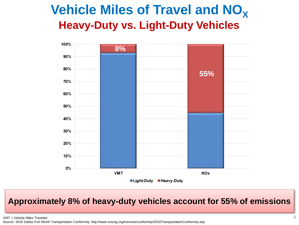### **Vehicle Miles of Travel and NO<sub>X</sub> Heavy-Duty vs. Light-Duty Vehicles**



#### **Approximately 8% of heavy-duty vehicles account for 55% of emissions**

VMT = Vehicle Miles Traveled  $6$ 

Source: 2016 Dallas-Fort Worth Transportation Conformity, http://www.nctcog.org/trans/air/conformity/2016TransportationConformity.asp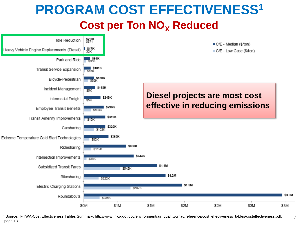### **PROGRAM COST EFFECTIVENESS<sup>1</sup> Cost per Ton NO<sub>x</sub> Reduced**



<sup>1</sup> Source: FHWA-Cost Effectiveness Tables Summary. [http://www.fhwa.dot.gov/environment/air\\_quality/cmaq/reference/cost\\_effectiveness\\_tables/costeffectiveness.pdf](http://www.fhwa.dot.gov/environment/air_quality/cmaq/reference/cost_effectiveness_tables/costeffectiveness.pdf), page 13.

7